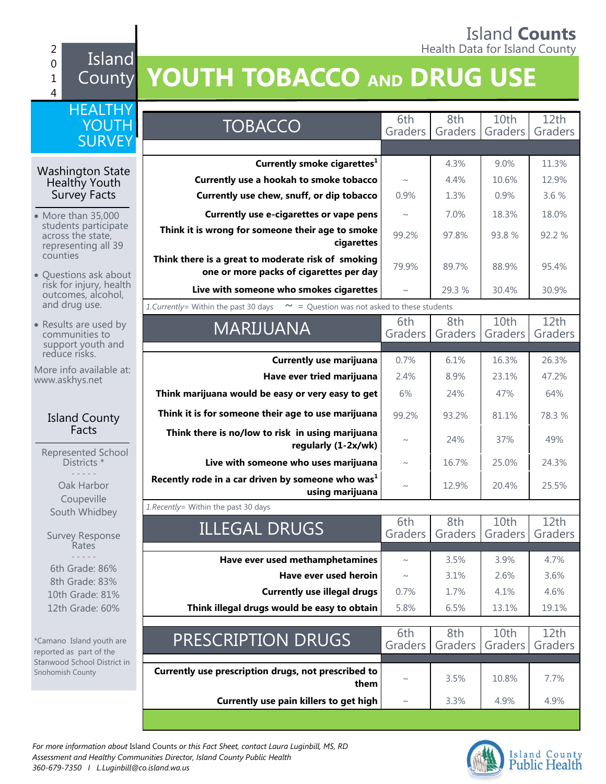#### Island **Counts** 2 **Figure 1** Health Data for Island County

# County **YOUTH TOBACCO AND DRUG USE**

| <b>HEALTHY</b>                                                   |                                                                                               |                |                |                             |                 |
|------------------------------------------------------------------|-----------------------------------------------------------------------------------------------|----------------|----------------|-----------------------------|-----------------|
| YOUTH                                                            | <b>TOBACCO</b>                                                                                | 6th<br>Graders | 8th<br>Graders | 10th<br>Graders             | 12th<br>Graders |
| <b>SURVEY</b>                                                    |                                                                                               |                |                |                             |                 |
|                                                                  | Currently smoke cigarettes <sup>1</sup>                                                       |                | 4.3%           | 9.0%                        | 11.3%           |
| <b>Washington State</b><br>Healthy Youth                         | Currently use a hookah to smoke tobacco                                                       | $\sim\,$       | 4.4%           | 10.6%                       | 12.9%           |
| Survey Facts                                                     | Currently use chew, snuff, or dip tobacco                                                     | 0.9%           | 1.3%           | 0.9%                        | 3.6 %           |
| • More than 35,000                                               | Currently use e-cigarettes or vape pens                                                       | $\sim$         | 7.0%           | 18.3%                       | 18.0%           |
| students participate<br>across the state,<br>representing all 39 | Think it is wrong for someone their age to smoke<br>cigarettes                                | 99.2%          | 97.8%          | 93.8%                       | 92.2 %          |
| counties<br>• Questions ask about                                | Think there is a great to moderate risk of smoking<br>one or more packs of cigarettes per day | 79.9%          | 89.7%          | 88.9%                       | 95.4%           |
| risk for injury, health<br>outcomes, alcohol,                    | Live with someone who smokes cigarettes                                                       |                | 29.3 %         | 30.4%                       | 30.9%           |
| and drug use.                                                    | 1. Currently = Within the past 30 days<br>$\sim$ = Question was not asked to these students   |                |                |                             |                 |
| • Results are used by<br>communities to<br>support youth and     | <b>MARIJUANA</b>                                                                              | 6th<br>Graders | 8th<br>Graders | 10th<br>Graders             | 12th<br>Graders |
| reduce risks.                                                    | <b>Currently use marijuana</b>                                                                | 0.7%           | 6.1%           | 16.3%                       | 26.3%           |
| More info available at:<br>www.askhys.net                        | Have ever tried marijuana                                                                     | 2.4%           | 8.9%           | 23.1%                       | 47.2%           |
|                                                                  | Think marijuana would be easy or very easy to get                                             | 6%             | 24%            | 47%                         | 64%             |
| <b>Island County</b>                                             | Think it is for someone their age to use marijuana                                            | 99.2%          | 93.2%          | 81.1%                       | 78.3 %          |
| Facts                                                            | Think there is no/low to risk in using marijuana<br>regularly (1-2x/wk)                       | $\sim$         | 24%            | 37%                         | 49%             |
| Represented School<br>Districts *                                | Live with someone who uses marijuana                                                          | $\sim$         | 16.7%          | 25.0%                       | 24.3%           |
| Oak Harbor                                                       | Recently rode in a car driven by someone who was <sup>1</sup><br>using marijuana              | $\sim$         | 12.9%          | 20.4%                       | 25.5%           |
| Coupeville<br>South Whidbey                                      | 1. Recently= Within the past 30 days                                                          |                |                |                             |                 |
| <b>Survey Response</b><br>Rates                                  | <b>ILLEGAL DRUGS</b>                                                                          | 6th<br>Graders | 8th<br>Graders | 10 <sub>th</sub><br>Graders | 12th<br>Graders |
|                                                                  | Have ever used methamphetamines                                                               | $\sim$         | 3.5%           | 3.9%                        | 4.7%            |
| 6th Grade: 86%                                                   | Have ever used heroin                                                                         | $\sim$         | 3.1%           | 2.6%                        | 3.6%            |
| 8th Grade: 83%<br>10th Grade: 81%                                | <b>Currently use illegal drugs</b>                                                            | 0.7%           | 1.7%           | 4.1%                        | 4.6%            |
| 12th Grade: 60%                                                  | Think illegal drugs would be easy to obtain                                                   | 5.8%           | 6.5%           | 13.1%                       | 19.1%           |
|                                                                  |                                                                                               |                |                |                             |                 |
| *Camano Island youth are<br>reported as part of the              | PRESCRIPTION DRUGS                                                                            | 6th<br>Graders | 8th<br>Graders | 10th<br>Graders             | 12th<br>Graders |
| Stanwood School District in<br>Snohomish County                  | Currently use prescription drugs, not prescribed to<br>them                                   | $\sim$         | 3.5%           | 10.8%                       | 7.7%            |
|                                                                  | Currently use pain killers to get high                                                        | $\sim$         | 3.3%           | 4.9%                        | 4.9%            |
|                                                                  |                                                                                               |                |                |                             |                 |



0 1 4 Island